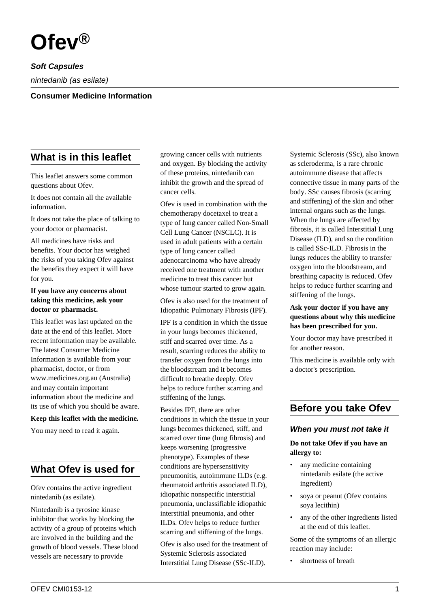

**Soft Capsules**

nintedanib (as esilate)

#### **Consumer Medicine Information**

## **What is in this leaflet**

This leaflet answers some common questions about Ofev.

It does not contain all the available information.

It does not take the place of talking to your doctor or pharmacist.

All medicines have risks and benefits. Your doctor has weighed the risks of you taking Ofev against the benefits they expect it will have for you.

#### **If you have any concerns about taking this medicine, ask your doctor or pharmacist.**

This leaflet was last updated on the date at the end of this leaflet. More recent information may be available. The latest Consumer Medicine Information is available from your pharmacist, doctor, or from www.medicines.org.au (Australia) and may contain important information about the medicine and its use of which you should be aware.

#### **Keep this leaflet with the medicine.**

You may need to read it again.

## **What Ofev is used for**

Ofev contains the active ingredient nintedanib (as esilate).

Nintedanib is a tyrosine kinase inhibitor that works by blocking the activity of a group of proteins which are involved in the building and the growth of blood vessels. These blood vessels are necessary to provide

growing cancer cells with nutrients and oxygen. By blocking the activity of these proteins, nintedanib can inhibit the growth and the spread of cancer cells.

Ofev is used in combination with the chemotherapy docetaxel to treat a type of lung cancer called Non-Small Cell Lung Cancer (NSCLC). It is used in adult patients with a certain type of lung cancer called adenocarcinoma who have already received one treatment with another medicine to treat this cancer but whose tumour started to grow again.

Ofev is also used for the treatment of Idiopathic Pulmonary Fibrosis (IPF).

IPF is a condition in which the tissue in your lungs becomes thickened, stiff and scarred over time. As a result, scarring reduces the ability to transfer oxygen from the lungs into the bloodstream and it becomes difficult to breathe deeply. Ofev helps to reduce further scarring and stiffening of the lungs.

Besides IPF, there are other conditions in which the tissue in your lungs becomes thickened, stiff, and scarred over time (lung fibrosis) and keeps worsening (progressive phenotype). Examples of these conditions are hypersensitivity pneumonitis, autoimmune ILDs (e.g. rheumatoid arthritis associated ILD), idiopathic nonspecific interstitial pneumonia, unclassifiable idiopathic interstitial pneumonia, and other ILDs. Ofev helps to reduce further scarring and stiffening of the lungs.

Ofev is also used for the treatment of Systemic Sclerosis associated Interstitial Lung Disease (SSc-ILD).

Systemic Sclerosis (SSc), also known as scleroderma, is a rare chronic autoimmune disease that affects connective tissue in many parts of the body. SSc causes fibrosis (scarring and stiffening) of the skin and other internal organs such as the lungs. When the lungs are affected by fibrosis, it is called Interstitial Lung Disease (ILD), and so the condition is called SSc-ILD. Fibrosis in the lungs reduces the ability to transfer oxygen into the bloodstream, and breathing capacity is reduced. Ofev helps to reduce further scarring and stiffening of the lungs.

#### **Ask your doctor if you have any questions about why this medicine has been prescribed for you.**

Your doctor may have prescribed it for another reason.

This medicine is available only with a doctor's prescription.

## **Before you take Ofev**

#### **When you must not take it**

**Do not take Ofev if you have an allergy to:**

- any medicine containing nintedanib esilate (the active ingredient)
- soya or peanut (Ofev contains soya lecithin)
- any of the other ingredients listed at the end of this leaflet.

Some of the symptoms of an allergic reaction may include:

• shortness of breath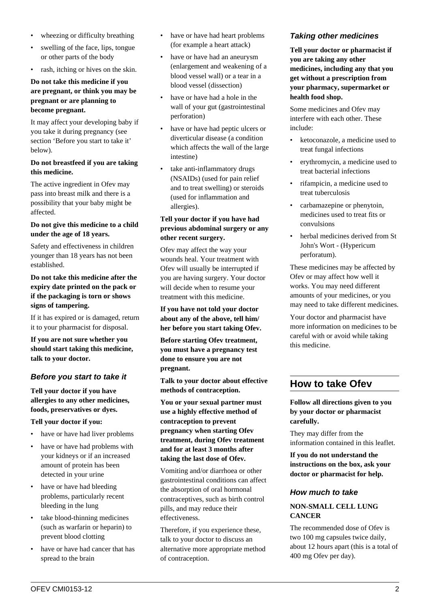- wheezing or difficulty breathing
- swelling of the face, lips, tongue or other parts of the body
- rash, itching or hives on the skin.

#### **Do not take this medicine if you are pregnant, or think you may be pregnant or are planning to become pregnant.**

It may affect your developing baby if you take it during pregnancy (see section 'Before you start to take it' below).

#### **Do not breastfeed if you are taking this medicine.**

The active ingredient in Ofev may pass into breast milk and there is a possibility that your baby might be affected.

#### **Do not give this medicine to a child under the age of 18 years.**

Safety and effectiveness in children younger than 18 years has not been established.

#### **Do not take this medicine after the expiry date printed on the pack or if the packaging is torn or shows signs of tampering.**

If it has expired or is damaged, return it to your pharmacist for disposal.

**If you are not sure whether you should start taking this medicine, talk to your doctor.**

## **Before you start to take it**

**Tell your doctor if you have allergies to any other medicines, foods, preservatives or dyes.**

#### **Tell your doctor if you:**

- have or have had liver problems
- have or have had problems with your kidneys or if an increased amount of protein has been detected in your urine
- have or have had bleeding problems, particularly recent bleeding in the lung
- take blood-thinning medicines (such as warfarin or heparin) to prevent blood clotting
- have or have had cancer that has spread to the brain
- have or have had heart problems (for example a heart attack)
- have or have had an aneurysm (enlargement and weakening of a blood vessel wall) or a tear in a blood vessel (dissection)
- have or have had a hole in the wall of your gut (gastrointestinal perforation)
- have or have had peptic ulcers or diverticular disease (a condition which affects the wall of the large intestine)
- take anti-inflammatory drugs (NSAIDs) (used for pain relief and to treat swelling) or steroids (used for inflammation and allergies).

#### **Tell your doctor if you have had previous abdominal surgery or any other recent surgery.**

Ofev may affect the way your wounds heal. Your treatment with Ofev will usually be interrupted if you are having surgery. Your doctor will decide when to resume your treatment with this medicine.

**If you have not told your doctor about any of the above, tell him/ her before you start taking Ofev.**

**Before starting Ofev treatment, you must have a pregnancy test done to ensure you are not pregnant.**

**Talk to your doctor about effective methods of contraception.**

**You or your sexual partner must use a highly effective method of contraception to prevent pregnancy when starting Ofev treatment, during Ofev treatment and for at least 3 months after taking the last dose of Ofev.**

Vomiting and/or diarrhoea or other gastrointestinal conditions can affect the absorption of oral hormonal contraceptives, such as birth control pills, and may reduce their effectiveness.

Therefore, if you experience these, talk to your doctor to discuss an alternative more appropriate method of contraception.

## **Taking other medicines**

**Tell your doctor or pharmacist if you are taking any other medicines, including any that you get without a prescription from your pharmacy, supermarket or health food shop.**

Some medicines and Ofev may interfere with each other. These include:

- ketoconazole, a medicine used to treat fungal infections
- erythromycin, a medicine used to treat bacterial infections
- rifampicin, a medicine used to treat tuberculosis
- carbamazepine or phenytoin, medicines used to treat fits or convulsions
- herbal medicines derived from St John's Wort - (Hypericum perforatum).

These medicines may be affected by Ofev or may affect how well it works. You may need different amounts of your medicines, or you may need to take different medicines.

Your doctor and pharmacist have more information on medicines to be careful with or avoid while taking this medicine.

# **How to take Ofev**

**Follow all directions given to you by your doctor or pharmacist carefully.**

They may differ from the information contained in this leaflet.

**If you do not understand the instructions on the box, ask your doctor or pharmacist for help.**

#### **How much to take**

#### **NON-SMALL CELL LUNG CANCER**

The recommended dose of Ofev is two 100 mg capsules twice daily, about 12 hours apart (this is a total of 400 mg Ofev per day).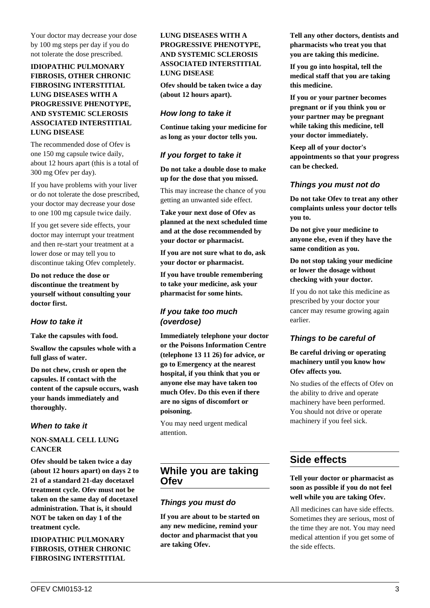Your doctor may decrease your dose by 100 mg steps per day if you do not tolerate the dose prescribed.

#### **IDIOPATHIC PULMONARY FIBROSIS, OTHER CHRONIC FIBROSING INTERSTITIAL LUNG DISEASES WITH A PROGRESSIVE PHENOTYPE, AND SYSTEMIC SCLEROSIS ASSOCIATED INTERSTITIAL LUNG DISEASE**

The recommended dose of Ofev is one 150 mg capsule twice daily, about 12 hours apart (this is a total of 300 mg Ofev per day).

If you have problems with your liver or do not tolerate the dose prescribed, your doctor may decrease your dose to one 100 mg capsule twice daily.

If you get severe side effects, your doctor may interrupt your treatment and then re-start your treatment at a lower dose or may tell you to discontinue taking Ofev completely.

**Do not reduce the dose or discontinue the treatment by yourself without consulting your doctor first.**

#### **How to take it**

**Take the capsules with food.**

**Swallow the capsules whole with a full glass of water.**

**Do not chew, crush or open the capsules. If contact with the content of the capsule occurs, wash your hands immediately and thoroughly.**

#### **When to take it**

#### **NON-SMALL CELL LUNG CANCER**

**Ofev should be taken twice a day (about 12 hours apart) on days 2 to 21 of a standard 21-day docetaxel treatment cycle. Ofev must not be taken on the same day of docetaxel administration. That is, it should NOT be taken on day 1 of the treatment cycle.**

**IDIOPATHIC PULMONARY FIBROSIS, OTHER CHRONIC FIBROSING INTERSTITIAL**

#### **LUNG DISEASES WITH A PROGRESSIVE PHENOTYPE, AND SYSTEMIC SCLEROSIS ASSOCIATED INTERSTITIAL LUNG DISEASE**

**Ofev should be taken twice a day (about 12 hours apart).**

#### **How long to take it**

**Continue taking your medicine for as long as your doctor tells you.**

### **If you forget to take it**

**Do not take a double dose to make up for the dose that you missed.**

This may increase the chance of you getting an unwanted side effect.

**Take your next dose of Ofev as planned at the next scheduled time and at the dose recommended by your doctor or pharmacist.**

**If you are not sure what to do, ask your doctor or pharmacist.**

**If you have trouble remembering to take your medicine, ask your pharmacist for some hints.**

## **If you take too much (overdose)**

**Immediately telephone your doctor or the Poisons Information Centre (telephone 13 11 26) for advice, or go to Emergency at the nearest hospital, if you think that you or anyone else may have taken too much Ofev. Do this even if there are no signs of discomfort or poisoning.**

You may need urgent medical attention.

## **While you are taking Ofev**

#### **Things you must do**

**If you are about to be started on any new medicine, remind your doctor and pharmacist that you are taking Ofev.**

**Tell any other doctors, dentists and pharmacists who treat you that you are taking this medicine.**

**If you go into hospital, tell the medical staff that you are taking this medicine.**

**If you or your partner becomes pregnant or if you think you or your partner may be pregnant while taking this medicine, tell your doctor immediately.**

**Keep all of your doctor's appointments so that your progress can be checked.**

#### **Things you must not do**

**Do not take Ofev to treat any other complaints unless your doctor tells you to.**

**Do not give your medicine to anyone else, even if they have the same condition as you.**

#### **Do not stop taking your medicine or lower the dosage without checking with your doctor.**

If you do not take this medicine as prescribed by your doctor your cancer may resume growing again earlier.

## **Things to be careful of**

#### **Be careful driving or operating machinery until you know how Ofev affects you.**

No studies of the effects of Ofev on the ability to drive and operate machinery have been performed. You should not drive or operate machinery if you feel sick.

# **Side effects**

#### **Tell your doctor or pharmacist as soon as possible if you do not feel well while you are taking Ofev.**

All medicines can have side effects. Sometimes they are serious, most of the time they are not. You may need medical attention if you get some of the side effects.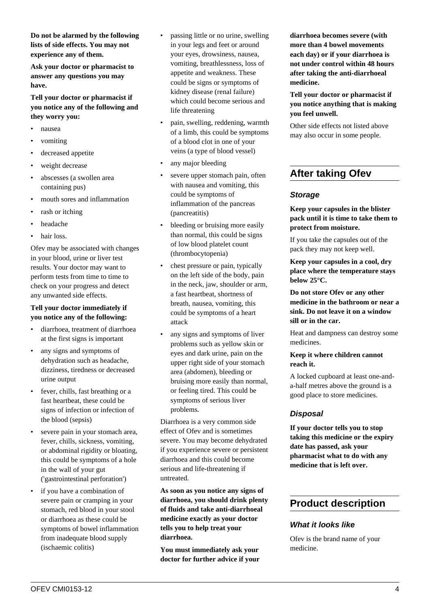**Do not be alarmed by the following lists of side effects. You may not experience any of them.**

**Ask your doctor or pharmacist to answer any questions you may have.**

**Tell your doctor or pharmacist if you notice any of the following and they worry you:**

- nausea
- vomiting
- decreased appetite
- weight decrease
- abscesses (a swollen area containing pus)
- mouth sores and inflammation
- rash or itching
- headache
- hair loss.

Ofev may be associated with changes in your blood, urine or liver test results. Your doctor may want to perform tests from time to time to check on your progress and detect any unwanted side effects.

#### **Tell your doctor immediately if you notice any of the following:**

- diarrhoea, treatment of diarrhoea at the first signs is important
- any signs and symptoms of dehydration such as headache, dizziness, tiredness or decreased urine output
- fever, chills, fast breathing or a fast heartbeat, these could be signs of infection or infection of the blood (sepsis)
- severe pain in your stomach area, fever, chills, sickness, vomiting, or abdominal rigidity or bloating, this could be symptoms of a hole in the wall of your gut ('gastrointestinal perforation')
- if you have a combination of severe pain or cramping in your stomach, red blood in your stool or diarrhoea as these could be symptoms of bowel inflammation from inadequate blood supply (ischaemic colitis)
- passing little or no urine, swelling in your legs and feet or around your eyes, drowsiness, nausea, vomiting, breathlessness, loss of appetite and weakness. These could be signs or symptoms of kidney disease (renal failure) which could become serious and life threatening
- pain, swelling, reddening, warmth of a limb, this could be symptoms of a blood clot in one of your veins (a type of blood vessel)
- any major bleeding
- severe upper stomach pain, often with nausea and vomiting, this could be symptoms of inflammation of the pancreas (pancreatitis)
- bleeding or bruising more easily than normal, this could be signs of low blood platelet count (thrombocytopenia)
- chest pressure or pain, typically on the left side of the body, pain in the neck, jaw, shoulder or arm, a fast heartbeat, shortness of breath, nausea, vomiting, this could be symptoms of a heart attack
- any signs and symptoms of liver problems such as yellow skin or eyes and dark urine, pain on the upper right side of your stomach area (abdomen), bleeding or bruising more easily than normal, or feeling tired. This could be symptoms of serious liver problems.

Diarrhoea is a very common side effect of Ofev and is sometimes severe. You may become dehydrated if you experience severe or persistent diarrhoea and this could become serious and life-threatening if untreated.

**As soon as you notice any signs of diarrhoea, you should drink plenty of fluids and take anti-diarrhoeal medicine exactly as your doctor tells you to help treat your diarrhoea.**

**You must immediately ask your doctor for further advice if your** **diarrhoea becomes severe (with more than 4 bowel movements each day) or if your diarrhoea is not under control within 48 hours after taking the anti-diarrhoeal medicine.**

**Tell your doctor or pharmacist if you notice anything that is making you feel unwell.**

Other side effects not listed above may also occur in some people.

# **After taking Ofev**

#### **Storage**

**Keep your capsules in the blister pack until it is time to take them to protect from moisture.**

If you take the capsules out of the pack they may not keep well.

**Keep your capsules in a cool, dry place where the temperature stays below 25°C.**

**Do not store Ofev or any other medicine in the bathroom or near a sink. Do not leave it on a window sill or in the car.**

Heat and dampness can destroy some medicines.

#### **Keep it where children cannot reach it.**

A locked cupboard at least one-anda-half metres above the ground is a good place to store medicines.

## **Disposal**

**If your doctor tells you to stop taking this medicine or the expiry date has passed, ask your pharmacist what to do with any medicine that is left over.**

## **Product description**

#### **What it looks like**

Ofev is the brand name of your medicine.